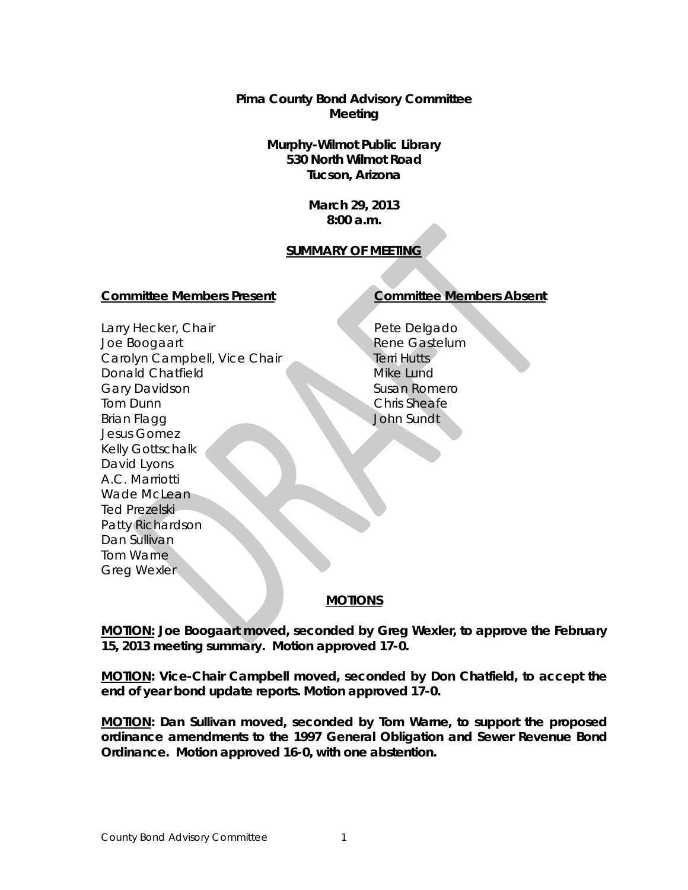**Pima County Bond Advisory Committee Meeting**

> **Murphy-Wilmot Public Library 530 North Wilmot Road Tucson, Arizona**

> > **March 29, 2013 8:00 a.m.**

# **SUMMARY OF MEETING**

### **Committee Members Present Committee Members Absent**

Larry Hecker, Chair Joe Boogaart Carolyn Campbell, Vice Chair Donald Chatfield Gary Davidson Tom Dunn Brian Flagg Jesus Gomez Kelly Gottschalk David Lyons A.C. Marriotti Wade McLean Ted Prezelski Patty Richardson Dan Sullivan Tom Warne Greg Wexler

Pete Delgado Rene Gastelum Terri Hutts Mike Lund Susan Romero Chris Sheafe John Sundt

### **MOTIONS**

**MOTION: Joe Boogaart moved, seconded by Greg Wexler, to approve the February 15, 2013 meeting summary. Motion approved 17-0.**

**MOTION: Vice-Chair Campbell moved, seconded by Don Chatfield, to accept the end of year bond update reports. Motion approved 17-0.**

**MOTION: Dan Sullivan moved, seconded by Tom Warne, to support the proposed ordinance amendments to the 1997 General Obligation and Sewer Revenue Bond Ordinance. Motion approved 16-0, with one abstention.**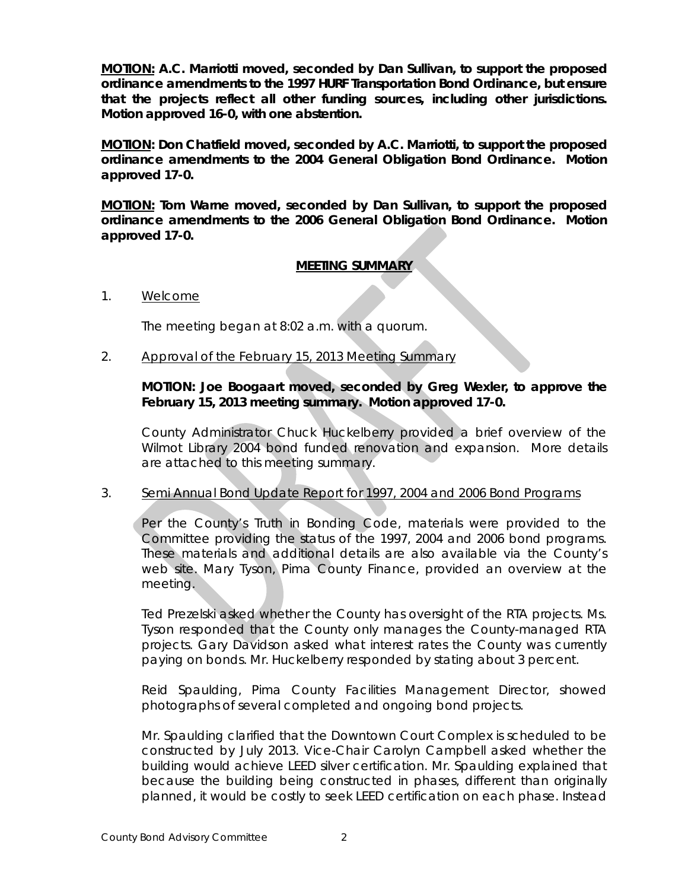**MOTION: A.C. Marriotti moved, seconded by Dan Sullivan, to support the proposed ordinance amendments to the 1997 HURF Transportation Bond Ordinance, but ensure that the projects reflect all other funding sources, including other jurisdictions. Motion approved 16-0, with one abstention.**

**MOTION: Don Chatfield moved, seconded by A.C. Marriotti, to support the proposed ordinance amendments to the 2004 General Obligation Bond Ordinance. Motion approved 17-0.**

**MOTION: Tom Warne moved, seconded by Dan Sullivan, to support the proposed ordinance amendments to the 2006 General Obligation Bond Ordinance. Motion approved 17-0.**

# **MEETING SUMMARY**

1. Welcome

The meeting began at 8:02 a.m. with a quorum.

2. Approval of the February 15, 2013 Meeting Summary

# **MOTION: Joe Boogaart moved, seconded by Greg Wexler, to approve the February 15, 2013 meeting summary. Motion approved 17-0.**

County Administrator Chuck Huckelberry provided a brief overview of the Wilmot Library 2004 bond funded renovation and expansion. More details are attached to this meeting summary.

### 3. Semi Annual Bond Update Report for 1997, 2004 and 2006 Bond Programs

Per the County's Truth in Bonding Code, materials were provided to the Committee providing the status of the 1997, 2004 and 2006 bond programs. These materials and additional details are also available via the County's web site. Mary Tyson, Pima County Finance, provided an overview at the meeting.

Ted Prezelski asked whether the County has oversight of the RTA projects. Ms. Tyson responded that the County only manages the County-managed RTA projects. Gary Davidson asked what interest rates the County was currently paying on bonds. Mr. Huckelberry responded by stating about 3 percent.

Reid Spaulding, Pima County Facilities Management Director, showed photographs of several completed and ongoing bond projects.

Mr. Spaulding clarified that the Downtown Court Complex is scheduled to be constructed by July 2013. Vice-Chair Carolyn Campbell asked whether the building would achieve LEED silver certification. Mr. Spaulding explained that because the building being constructed in phases, different than originally planned, it would be costly to seek LEED certification on each phase. Instead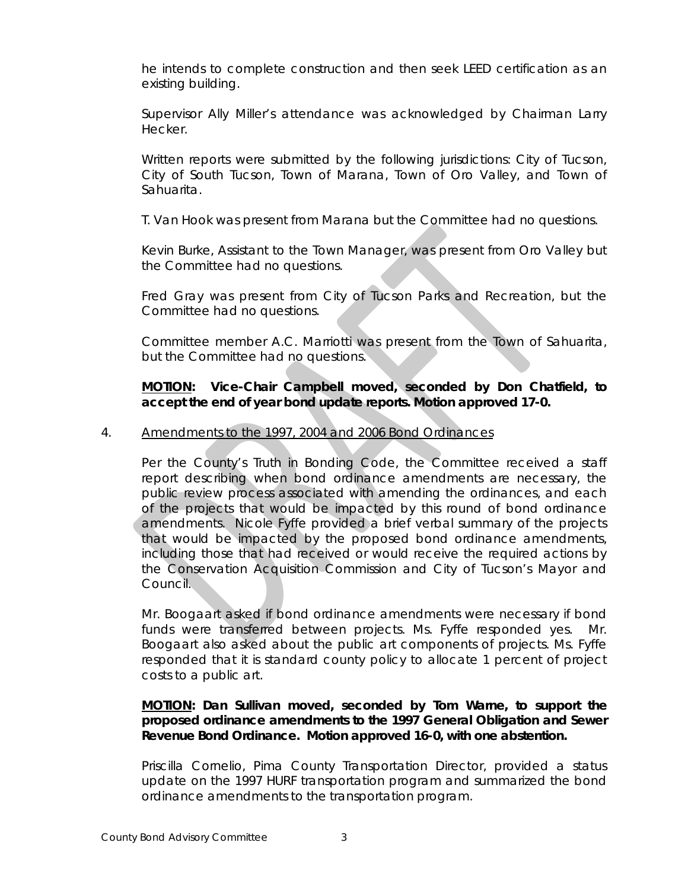he intends to complete construction and then seek LEED certification as an existing building.

Supervisor Ally Miller's attendance was acknowledged by Chairman Larry Hecker.

Written reports were submitted by the following jurisdictions: City of Tucson, City of South Tucson, Town of Marana, Town of Oro Valley, and Town of Sahuarita.

T. Van Hook was present from Marana but the Committee had no questions.

Kevin Burke, Assistant to the Town Manager, was present from Oro Valley but the Committee had no questions.

Fred Gray was present from City of Tucson Parks and Recreation, but the Committee had no questions.

Committee member A.C. Marriotti was present from the Town of Sahuarita, but the Committee had no questions.

# **MOTION: Vice-Chair Campbell moved, seconded by Don Chatfield, to accept the end of year bond update reports. Motion approved 17-0.**

# 4. Amendments to the 1997, 2004 and 2006 Bond Ordinances

Per the County's Truth in Bonding Code, the Committee received a staff report describing when bond ordinance amendments are necessary, the public review process associated with amending the ordinances, and each of the projects that would be impacted by this round of bond ordinance amendments. Nicole Fyffe provided a brief verbal summary of the projects that would be impacted by the proposed bond ordinance amendments, including those that had received or would receive the required actions by the Conservation Acquisition Commission and City of Tucson's Mayor and Council.

Mr. Boogaart asked if bond ordinance amendments were necessary if bond funds were transferred between projects. Ms. Fyffe responded yes. Mr. Boogaart also asked about the public art components of projects. Ms. Fyffe responded that it is standard county policy to allocate 1 percent of project costs to a public art.

# **MOTION: Dan Sullivan moved, seconded by Tom Warne, to support the proposed ordinance amendments to the 1997 General Obligation and Sewer Revenue Bond Ordinance. Motion approved 16-0, with one abstention.**

Priscilla Cornelio, Pima County Transportation Director, provided a status update on the 1997 HURF transportation program and summarized the bond ordinance amendments to the transportation program.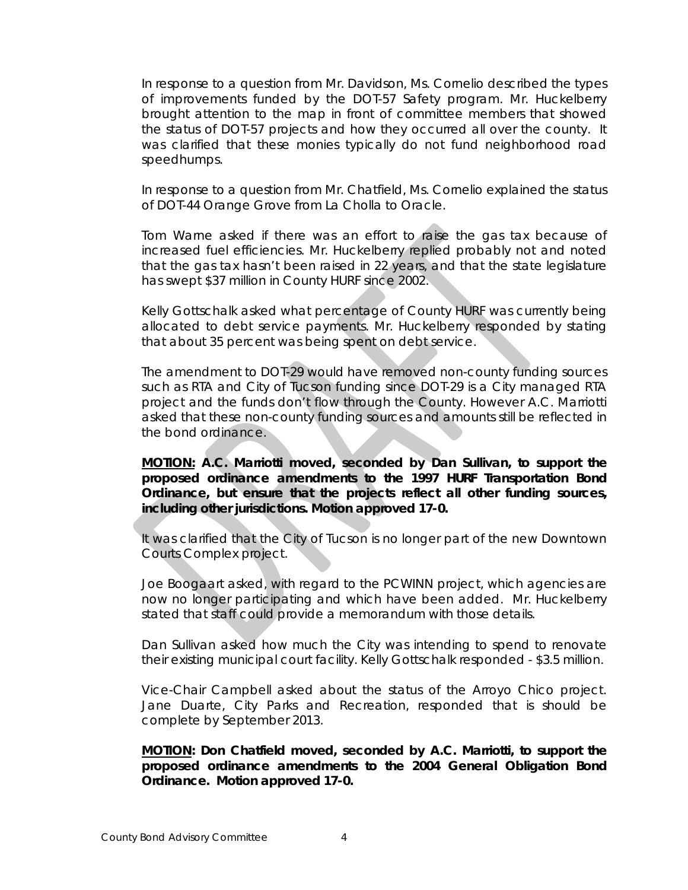In response to a question from Mr. Davidson, Ms. Cornelio described the types of improvements funded by the DOT-57 Safety program. Mr. Huckelberry brought attention to the map in front of committee members that showed the status of DOT-57 projects and how they occurred all over the county. It was clarified that these monies typically do not fund neighborhood road speedhumps.

In response to a question from Mr. Chatfield, Ms. Cornelio explained the status of DOT-44 Orange Grove from La Cholla to Oracle.

Tom Warne asked if there was an effort to raise the gas tax because of increased fuel efficiencies. Mr. Huckelberry replied probably not and noted that the gas tax hasn't been raised in 22 years, and that the state legislature has swept \$37 million in County HURF since 2002.

Kelly Gottschalk asked what percentage of County HURF was currently being allocated to debt service payments. Mr. Huckelberry responded by stating that about 35 percent was being spent on debt service.

The amendment to DOT-29 would have removed non-county funding sources such as RTA and City of Tucson funding since DOT-29 is a City managed RTA project and the funds don't flow through the County. However A.C. Marriotti asked that these non-county funding sources and amounts still be reflected in the bond ordinance.

**MOTION: A.C. Marriotti moved, seconded by Dan Sullivan, to support the proposed ordinance amendments to the 1997 HURF Transportation Bond Ordinance, but ensure that the projects reflect all other funding sources, including other jurisdictions. Motion approved 17-0.**

It was clarified that the City of Tucson is no longer part of the new Downtown Courts Complex project.

Joe Boogaart asked, with regard to the PCWINN project, which agencies are now no longer participating and which have been added. Mr. Huckelberry stated that staff could provide a memorandum with those details.

Dan Sullivan asked how much the City was intending to spend to renovate their existing municipal court facility. Kelly Gottschalk responded - \$3.5 million.

Vice-Chair Campbell asked about the status of the Arroyo Chico project. Jane Duarte, City Parks and Recreation, responded that is should be complete by September 2013.

**MOTION: Don Chatfield moved, seconded by A.C. Marriotti, to support the proposed ordinance amendments to the 2004 General Obligation Bond Ordinance. Motion approved 17-0.**